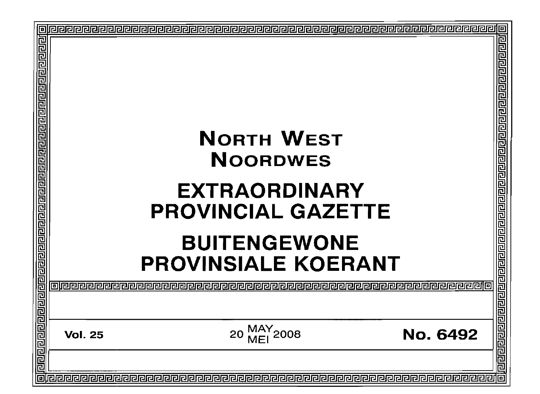| <u> बिद्यान क्रियेन निष्टा न संस्कृत क्रियेन क्रियेन क्रियेन क्रियेन क्रियेन क्रियेन क्रियेन क्रियेन क्रियेन क्रि</u> | <b>NORTH WEST</b><br><b>NOORDWES</b><br><b>EXTRAORDINARY</b><br><b>PROVINCIAL GAZETTE</b><br><b>BUITENGEWONE</b><br><b>PROVINSIALE KOERANT</b><br><u>relererello</u><br>er<br>NNDNNNNNNN | Ē<br><u>राघाचाचाचाचाचाचाचाचाचाचाचाचाचाचाचा</u> |
|-----------------------------------------------------------------------------------------------------------------------|------------------------------------------------------------------------------------------------------------------------------------------------------------------------------------------|------------------------------------------------|
|                                                                                                                       | 20 MAY 2008<br><b>No. 6492</b><br><b>Vol. 25</b>                                                                                                                                         |                                                |
| 回                                                                                                                     |                                                                                                                                                                                          | 민리리리리리<br>1न                                   |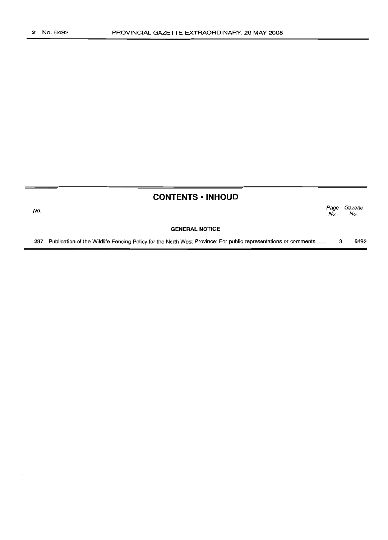No.

## **CONTENTS ·INHOUD**

Page Gazette No. No.

#### **GENERAL NOTICE**

297 Publication of the Wildlife Fencing Policy for the North West Province: For public representations or comments....... 3 6492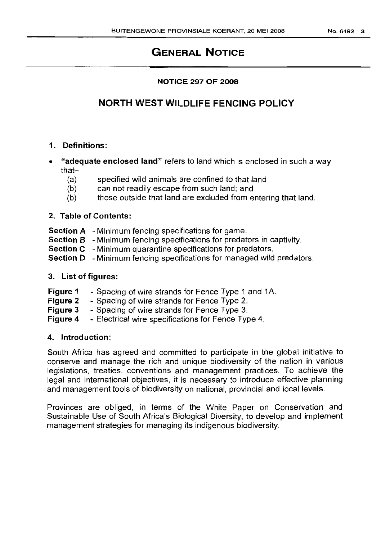# GENERAL NOTICE

## NOTICE 297 OF 2008

# NORTH WEST WILDLIFE FENCING POLICY

## 1. Definitions:

- "adequate enclosed land" refers to land which is enclosed in such a way that-
	- (a) specified wild animals are confined to that land
	- (b) can not readily escape from such land; and
	- (b) those outside that land are excluded from entering that land.

## 2. Table of Contents:

- Section A Minimum fencing specifications for game.
- Section B Minimum fencing specifications for predators in captivity.
- Section C Minimum quarantine specifications for predators.
- Section D Minimum fencing specifications for managed wild predators.

## 3. List of figures:

- Figure 1 - Spacing of wire strands for Fence Type 1 and 1A.
- Figure 2 - Spacing of wire strands for Fence Type 2.
- Figure 3 - Spacing of wire strands for Fence Type 3.
- Figure 4 - Electrical wire specifications for Fence Type 4.

## 4. Introduction:

South Africa has agreed and committed to participate in the global initiative to conserve and manage the rich and unique biodiversity of the nation in various legislations, treaties, conventions and management practices. To achieve the legal and international objectives, it is necessary to introduce effective planning and management tools of biodiversity on national, provincial and local levels.

Provinces are obliged, in terms of the White Paper on Conservation and Sustainable Use of South Africa's Biological Diversity, to develop and implement management strategies for managing its indigenous biodiversity.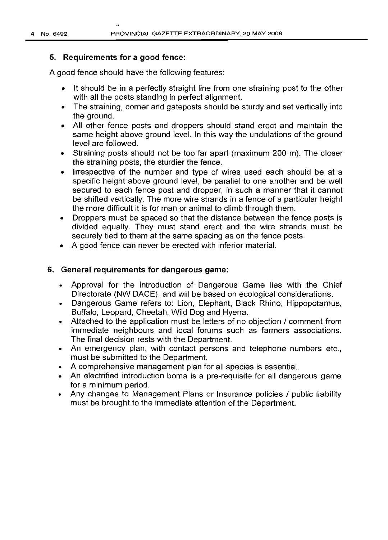### 5. Requirements for a good fence:

A good fence should have the following features:

- It should be in a perfectly straight line from one straining post to the other with all the posts standing in perfect alignment.
- The straining, corner and gateposts should be sturdy and set vertically into the ground.
- All other fence posts and droppers should stand erect and maintain the same height above ground level. In this way the undulations of the ground level are followed.
- Straining posts should not be too far apart (maximum 200 m). The closer the straining posts, the sturdier the fence.
- Irrespective of the number and type of wires used each should be at a specific height above ground level, be parallel to one another and be well secured to each fence post and dropper, in such a manner that it cannot be shifted vertically. The more wire strands in a fence of a particular height the more difficult it is for man or animal to climb through them.
- Droppers must be spaced so that the distance between the fence posts is divided equally. They must stand erect and the wire strands must be securely tied to them at the same spacing as on the fence posts.
- A good fence can never be erected with inferior material.

### 6. General requirements for dangerous game:

- Approval for the introduction of Dangerous Game lies with the Chief Directorate (NW DACE), and will be based on ecological considerations.
- Dangerous Game refers to: Lion, Elephant, Black Rhino, Hippopotamus, Buffalo, Leopard, Cheetah, Wild Dog and Hyena.
- Attached to the application must be letters of no objection / comment from immediate neighbours and local forums such as farmers associations. The final decision rests with the Department.
- An emergency plan, with contact persons and telephone numbers etc., must be submitted to the Department.
- A comprehensive management plan for all species is essential.
- An electrified introduction boma is a pre-requisite for all dangerous game for a minimum period.
- Any changes to Management Plans or Insurance policies / public liability must be brought to the immediate attention of the Department.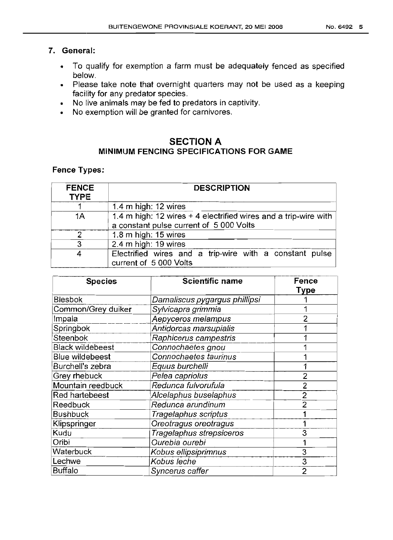## 7. General:

- To qualify for exemption a farm must be adequately fenced as specified below.
- Please take note that overnight quarters may not be used as a keeping facility for any predator species.
- No live animals may be fed to predators in captivity.
- No exemption will be granted for carnivores.

## SECTION A MINIMUM FENCING SPECIFICATIONS FOR GAME

## Fence Types:

| <b>FENCE</b><br><b>TYPE</b> | <b>DESCRIPTION</b>                                                                                         |  |
|-----------------------------|------------------------------------------------------------------------------------------------------------|--|
|                             | 1.4 m high: 12 wires                                                                                       |  |
| 1A                          | 1.4 m high: 12 wires + 4 electrified wires and a trip-wire with<br>a constant pulse current of 5 000 Volts |  |
| 2                           | 1.8 m high: $15$ wires                                                                                     |  |
| 3                           | 2.4 m high: 19 wires                                                                                       |  |
| 4                           | Electrified wires and a trip-wire with a constant pulse<br>current of 5 000 Volts                          |  |

| <b>Species</b>          | <b>Scientific name</b>        | Fence          |
|-------------------------|-------------------------------|----------------|
|                         |                               | Type           |
| <b>Blesbok</b>          | Damaliscus pygargus phillipsi |                |
| Common/Grey duiker      | Sylvicapra grimmia            |                |
| Impala                  | Aepyceros melampus            |                |
| Springbok               | Antidorcas marsupialis        |                |
| Steenbok                | Raphicerus campestris         |                |
| <b>Black wildebeest</b> | Connochaetes gnou             |                |
| <b>Blue wildebeest</b>  | Connochaetes taurinus         |                |
| Burchell's zebra        | Equus burchelli               |                |
| Grey rhebuck            | Pelea capriolus               | 2              |
| Mountain reedbuck       | Redunca fulvorufula           | $\overline{2}$ |
| Red hartebeest          | Alcelaphus buselaphus         | 2              |
| Reedbuck                | Redunca arundinum             | 2              |
| <b>Bushbuck</b>         | Tragelaphus scriptus          |                |
| Klipspringer            | Oreotragus oreotragus         |                |
| Kudu                    | Tragelaphus strepsiceros      | 3              |
| Oribi                   | Ourebia ourebi                |                |
| Waterbuck               | Kobus ellipsiprimnus          | 3              |
| Lechwe                  | Kobus leche                   | 3              |
| Buffalo                 | Syncerus caffer               | 2              |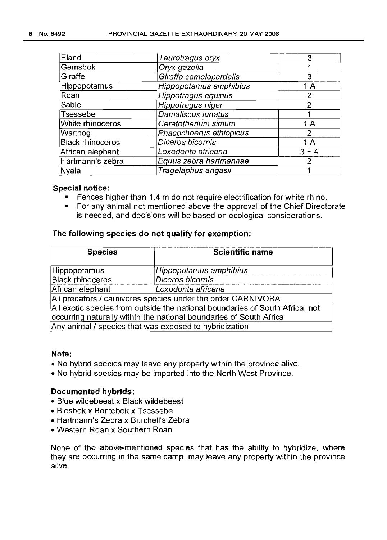| Eland                   | Taurotragus oryx        | З       |
|-------------------------|-------------------------|---------|
| Gemsbok                 | Oryx gazella            |         |
| Giraffe                 | Giraffa camelopardalis  | 3       |
| Hippopotamus            | Hippopotamus amphibius  | 1 A     |
| Roan                    | Hippotragus equinus     | 2       |
| Sable                   | Hippotragus niger       | 2       |
| Tsessebe                | Damaliscus lunatus      |         |
| White rhinoceros        | Ceratotherium simum     | 1 A     |
| Warthog                 | Phacochoerus ethiopicus | 2       |
| <b>Black rhinoceros</b> | Diceros bicornis        | 1 A     |
| African elephant        | Loxodonta africana      | $3 + 4$ |
| Hartmann's zebra        | Equus zebra hartmannae  | 2       |
| Nyala                   | Tragelaphus angasii     |         |

### **Special notice:**

- Fences higher than 1.4 m do not require electrification for white rhino.
- For any animal not mentioned above the approval of the Chief Directorate is needed, and decisions will be based on ecological considerations.

### **The following species do not qualify for exemption:**

| <b>Species</b>                                                               | <b>Scientific name</b> |  |
|------------------------------------------------------------------------------|------------------------|--|
| Hippopotamus                                                                 | Hippopotamus amphibius |  |
| <b>Black rhinoceros</b>                                                      | Diceros bicornis       |  |
| African elephant                                                             | Loxodonta africana     |  |
| All predators / carnivores species under the order CARNIVORA                 |                        |  |
| All exotic species from outside the national boundaries of South Africa, not |                        |  |
| occurring naturally within the national boundaries of South Africa           |                        |  |
| Any animal / species that was exposed to hybridization                       |                        |  |

### **Note:**

- No hybrid species may leave any property within the province alive.
- No hybrid species may be imported into the North West Province.

### **Documented hybrids:**

- Blue wildebeest x Black wildebeest
- Blesbok x Bontebok x Tsessebe
- Hartmann's Zebra x Burchell's Zebra
- Western Roan x Southern Roan

None of the above-mentioned species that has the ability to hybridize, where they are occurring in the same camp, may leave any property within the province alive.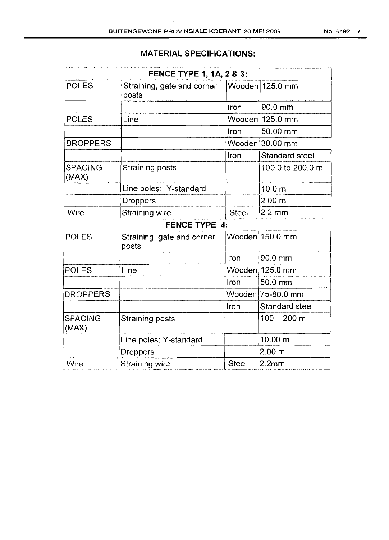## **MATERIAL SPECIFICATIONS:**

|                         | FENCE TYPE 1, 1A, 2 & 3:            |       |                   |
|-------------------------|-------------------------------------|-------|-------------------|
| <b>POLES</b>            | Straining, gate and corner<br>posts |       | Wooden 125.0 mm   |
|                         |                                     | Iron  | $90.0$ mm         |
| <b>POLES</b>            | Line                                |       | Wooden 125.0 mm   |
|                         |                                     | Iron  | 50.00 mm          |
| <b>DROPPERS</b>         |                                     |       | Wooden 30.00 mm   |
|                         |                                     | Iron  | Standard steel    |
| <b>SPACING</b><br>(MAX) | Straining posts                     |       | 100.0 to 200.0 m  |
|                         | Line poles: Y-standard              |       | 10.0 <sub>m</sub> |
|                         | <b>Droppers</b>                     |       | 2.00 <sub>m</sub> |
| Wire                    | Straining wire                      | Steel | $2.2 \text{ mm}$  |
|                         | <b>FENCE TYPE 4:</b>                |       |                   |
| <b>POLES</b>            | Straining, gate and corner<br>posts |       | Wooden 150.0 mm   |
|                         |                                     | Iron  | 90.0 mm           |
| <b>POLES</b>            | Line                                |       | Wooden 125.0 mm   |
|                         |                                     | Iron  | 50.0 mm           |
| <b>DROPPERS</b>         |                                     |       | Wooden 75-80.0 mm |
|                         |                                     | Iron  | Standard steel    |
| <b>SPACING</b><br>(MAX) | Straining posts                     |       | $100 - 200$ m     |
|                         | Line poles: Y-standard              |       | 10.00 m           |
|                         | <b>Droppers</b>                     |       | 2.00 <sub>m</sub> |
| Wire                    | Straining wire                      | Steel | 2.2mm             |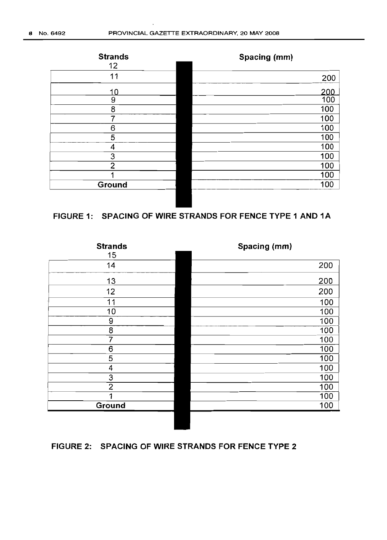

## **FIGURE 1: SPACING OF WIRE STRANDS FOR FENCE TYPE 1 AND 1A**

| <b>Strands</b> | Spacing (mm) |
|----------------|--------------|
| 15             |              |
| 14             | 200          |
| 13             | 200          |
| 12             | 200          |
| 11             | 100          |
| 10             | 100          |
| 9              | 100          |
| 8              | 100          |
| 7              | 100          |
| 6              | 100          |
| 5              | 100          |
| 4              | 100          |
| 3              | 100          |
| 2              | 100          |
|                | 100          |
| Ground         | 100          |
|                |              |

## **FIGURE 2: SPACING OF WIRE STRANDS FOR FENCE TYPE 2**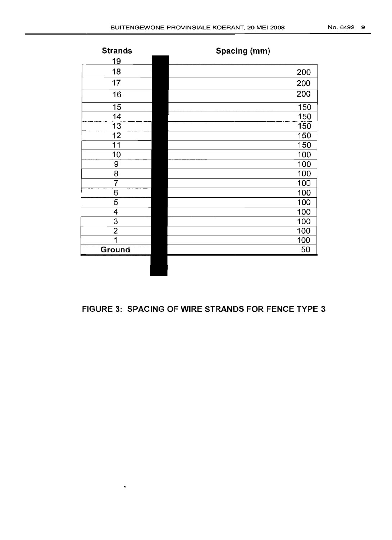| <b>Strands</b> | Spacing (mm)     |
|----------------|------------------|
| <u> 19</u>     |                  |
| 18             | 200              |
| 17             | 200              |
| 16             | $\overline{200}$ |
| 15             | 150              |
| 14             | 150              |
| 13             | 150              |
| 12             | 150              |
| 11             | 150              |
| 10             | 100              |
| 9              | 100              |
| 8              | 100              |
| 7              | 100              |
| 6              | 100              |
| 5              | 100              |
| 4              | 100              |
| 3              | 100              |
| $\overline{2}$ | 100              |
| 1              | 100              |
| Ground         | 50               |
|                |                  |

## **FIGURE 3: SPACING OF WIRE STRANDS FOR FENCE TYPE 3**

 $\mathbf{v}^{\prime}$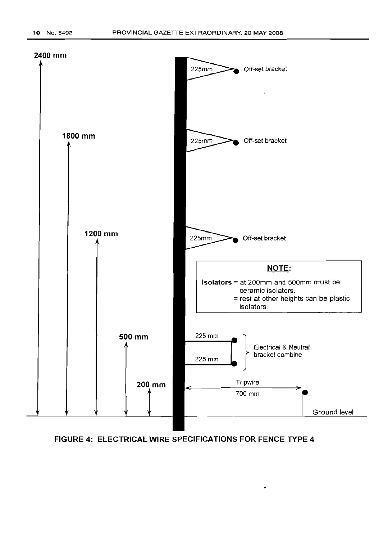

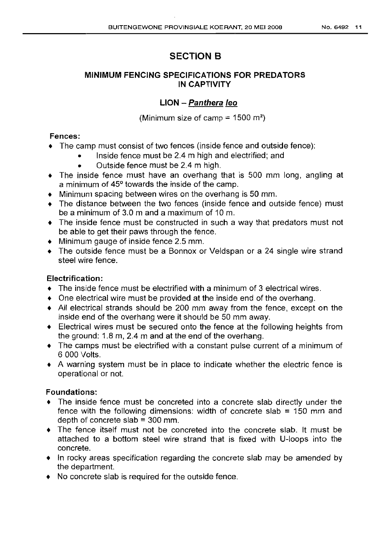# SECTION B

## MINIMUM FENCING SPECIFICATIONS FOR PREDATORS IN CAPTIVITY

## LION - Panthera leo

(Minimum size of camp =  $1500 \text{ m}^2$ )

## Fences:

- The camp must consist of two fences (inside fence and outside fence):
	- Inside fence must be 2.4 m high and electrified; and
		- Outside fence must be 2.4 m high.
- The inside fence must have an overhang that is 500 mm long, angling at a minimum of 45° towards the inside of the camp.
- Minimum spacing between wires on the overhang is 50 mm.
- The distance between the two fences (inside fence and outside fence) must be a minimum of 3.0 m and a maximum of 10m.
- The inside fence must be constructed in such a way that predators must not be able to get their paws through the fence.
- Minimum gauge of inside fence 2.5 mm.
- The outside fence must be a Bonnox or Veldspan or a 24 single wire strand steel wire fence.

## Electrification:

- The inside fence must be electrified with a minimum of 3 electrical wires.
- One electrical wire must be provided at the inside end of the overhang.
- All electrical strands should be 200 mm away from the fence, except on the inside end of the overhang were it should be 50 mm away.
- Electrical wires must be secured onto the fence at the following heights from the ground: 1.8 m, 2.4 m and at the end of the overhang.
- The camps must be electrified with a constant pulse current of a minimum of 6 000 Volts.
- A warning system must be in place to indicate whether the electric fence is operational or not.

## Foundations:

- The inside fence must be concreted into a concrete slab directly under the fence with the following dimensions: width of concrete slab  $= 150$  mm and depth of concrete slab  $=$  300 mm.
- The fence itself must not be concreted into the concrete slab. It must be attached to a bottom steel wire strand that is fixed with U-Ioops into the concrete,
- In rocky areas specification regarding the concrete slab may be amended by the department.
- No concrete slab is required for the outside fence.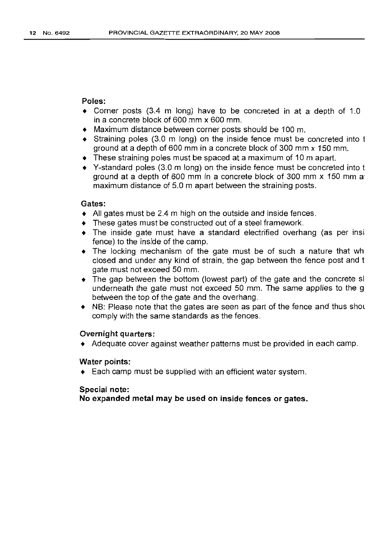#### Poles:

- Corner posts (3.4 m long) have to be concreted in at a depth of 1.0 in a concrete block of 600 mm x 600 mm.
- Maximum distance between corner posts should be 100 m.
- Straining poles (3.0 m long) on the inside fence must be concreted into t ground at a depth of 600 mm in a concrete block of 300 mm  $\times$  150 mm.
- $\bullet$  These straining poles must be spaced at a maximum of 10 m apart.
- V-standard poles (3.0 m long) on the inside fence must be concreted into t ground at a depth of 600 mm in a concrete block of 300 mm x 150 mm a maximum distance of 5.0 m apart between the straining posts.

#### Gates:

- All gates must be 2.4 m high on the outside and inside fences.
- These gates must be constructed out of a steel framework.
- The inside gate must have a standard electrified overhang (as per insi fence) to the inside of the camp.
- The locking mechanism of the gate must be of such a nature that wh closed and under any kind of strain, the gap between the fence post and t gate must not exceed 50 mm.
- The gap between the bottom (lowest part) of the gate and the concrete sl underneath the gate must not exceed 50 mm. The same applies to the g between the top of the gate and the overhang.
- NB: Please note that the gates are seen as part of the fence and thus shot comply with the same standards as the fences.

#### Overnight quarters:

• Adequate cover against weather patterns must be provided in each camp.

#### Water points:

• Each camp must be supplied with an efficient water system.

#### Special note:

No expanded metal may be used on inside fences or gates.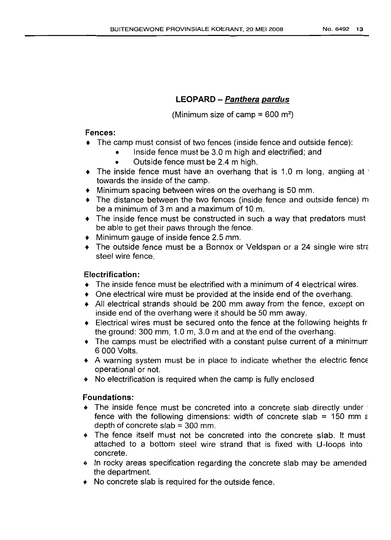## LEOPARD - Panthera pardus

(Minimum size of camp =  $600 \text{ m}^2$ )

## Fences:

- The camp must consist of two fences (inside fence and outside fence):
	- Inside fence must be 3.0 m high and electrified; and
	- Outside fence must be 2.4 m high.
- $\bullet$  The inside fence must have an overhang that is 1.0 m long, angling at ' towards the inside of the camp.
- Minimum spacing between wires on the overhang is 50 mm.
- The distance between the two fences (inside fence and outside fence) m be a minimum of 3 m and a maximum of 10m.
- The inside fence must be constructed in such a way that predators must be able to get their paws through the fence.
- Minimum gauge of inside fence 2.5 mm.
- The outside fence must be a Bonnox or Veldspan or a 24 single wire stra steel wire fence.

## Electrification:

- The inside fence must be electrified with a minimum of 4 electrical wires.
- One electrical wire must be provided at the inside end of the overhang.
- All electrical strands should be 200 mm away from the fence, except on inside end of the overhang were it should be 50 mm away.
- Electrical wires must be secured onto the fence at the following heights fr the ground: 300 mm, 1.0 m, 3.0 m and at the end of the overhang.
- The camps must be electrified with a constant pulse current of a minimurr 6000 Volts.
- A warning system must be in place to indicate whether the electric fence operational or not.
- ~~ No electrification is required when the camp is fully enclosed

## Foundations:

- ~~ The inside fence must be concreted into a concrete slab directly under' fence with the following dimensions: width of concrete slab = 150 mm  $\varepsilon$ depth of concrete slab  $=$  300 mm.
- ~~ The fence itself must not be concreted into the concrete slab. It must attached to a bottom steel wire strand that is fixed with U-loops into concrete.
- In rocky areas specification regarding the concrete slab may be amended the department.
- $\bullet$  No concrete slab is required for the outside fence.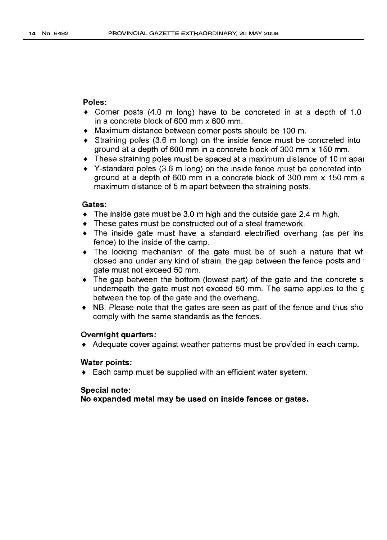#### **Poles:**

- Corner posts (4.0 m long) have to be concreted in at a depth of 1.0 in a concrete block of 600 mm x 600 mm.
- Maximum distance between corner posts should be 100 m.
- Straining poles (3.6 m long) on the inside fence must be concreted into ground at a depth of 600 mm in a concrete block of 300 mm x 150 mm.
- These straining poles must be spaced at a maximum distance of 10m apat
- V-standard poles (3.6 m long) on the inside fence must be concreted into ground at a depth of 600 mm in a concrete block of 300 mm  $\times$  150 mm  $\varepsilon$ maximum distance of 5 m apart between the straining posts.

#### **Gates:**

- $\bullet$  The inside gate must be 3.0 m high and the outside gate 2.4 m high.
- These gates must be constructed out of a steel framework.
- The inside gate must have a standard electrified overhang (as per ins fence) to the inside of the camp.
- The locking mechanism of the gate must be of such a nature that wt closed and under any kind of strain, the gap between the fence posts and' gate must not exceed 50 mm.
- The gap between the bottom (lowest part) of the gate and the concrete s underneath the gate must not exceed 50 mm. The same applies to the g between the top of the gate and the overhang.
- NB: Please note that the gates are seen as part of the fence and thus sho comply with the same standards as the fences.

#### **Overnight quarters:**

• Adequate cover against weather patterns must be provided in each camp.

#### **Water points:**

• Each camp must be supplied with an efficient water system.

#### **Special note:**

**No expanded metal may be used on inside fences or gates.**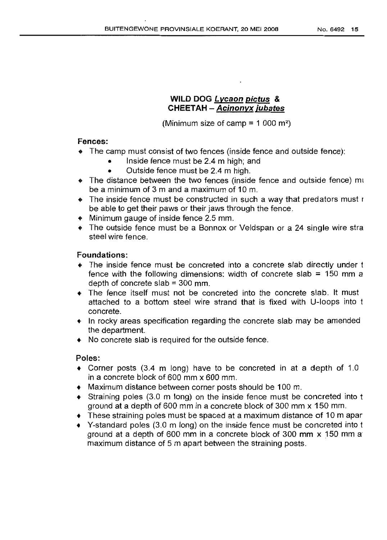## WILD DOG Lycaon pictus & CHEETAH - Acinonyx jUbates

(Minimum size of camp =  $1000$  m<sup>2</sup>)

### Fences:

- ~~ The camp must consist of two fences (inside fence and outside fence):
	- Inside fence must be 2.4 m high; and
	- Outside fence must be 2.4 m high.
- $\bullet$  The distance between the two fences (inside fence and outside fence) mu be a minimum of 3 m and a maximum of 10m.
- The inside fence must be constructed in such a way that predators must r be able to get their paws or their jaws through the fence.
- Minimum gauge of inside fence 2.5 mm.
- The outside fence must be a Bonnox or Veldspan or a 24 single wire stra steel wire fence.

## Foundations:

- .' The inside fence must be concreted into a concrete slab directly under t fence with the following dimensions: width of concrete slab  $= 150$  mm a depth of concrete slab  $=$  300 mm.
- $\bullet$  The fence itself must not be concreted into the concrete slab. It must attached to a bottom steel wire strand that is fixed with U-Ioops into t concrete.
- •' In rocky areas specification regarding the concrete slab may be amended the department.
- $\bullet$  No concrete slab is required for the outside fence.

## Poles:

- $\bullet$  Corner posts (3.4 m long) have to be concreted in at a depth of 1.0 in a concrete block of 600 mm x 600 mm.
- Maximum distance between corner posts should be 100 m.
- Straining poles (3.0 m long) on the inside fence must be concreted into t ground at a depth of 600 mm in a concrete block of 300 mm x 150 mm.
- $\bullet$  These straining poles must be spaced at a maximum distance of 10 m apar
- Y-standard poles (3.0 m long) on the inside fence must be concreted into t ground at a depth of 600 mm in a concrete block of 300 mm x 150 mm a maximum distance of 5 m apart between the straining posts.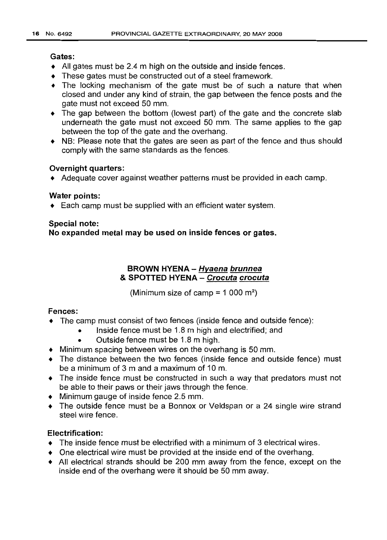#### Gates:

- All gates must be 2.4 m high on the outside and inside fences.
- These gates must be constructed out of a steel framework.
- The locking mechanism of the gate must be of such a nature that when closed and under any kind of strain, the gap between the fence posts and the gate must not exceed 50 mm.
- The gap between the bottom (lowest part) of the gate and the concrete slab underneath the gate must not exceed 50 mm. The same applies to the gap between the top of the gate and the overhang.
- NB: Please note that the gates are seen as part of the fence and thus should comply with the same standards as the fences.

### Overnight quarters:

• Adequate cover against weather patterns must be provided in each camp.

### Water points:

• Each camp must be supplied with an efficient water system.

### Special note:

No expanded metal may be used on inside fences or gates.

## BROWN HYENA - Hyaena brunnea & SPOTTED HYENA - Crocuta crocuta

(Minimum size of camp  $= 1000$  m<sup>2</sup>)

## Fences:

- The camp must consist of two fences (inside fence and outside fence):
	- Inside fence must be 1.8 m high and electrified; and
	- Outside fence must be 1.8 m high.
- Minimum spacing between wires on the overhang is 50 mm.
- The distance between the two fences (inside fence and outside fence) must be a minimum of 3 m and a maximum of 10m.
- The inside fence must be constructed in such a way that predators must not be able to their paws or their jaws through the fence.
- Minimum gauge of inside fence 2.5 mm.
- The outside fence must be a Bonnox or Veldspan or a 24 single wire strand steel wire fence.

## Electrification:

- The inside fence must be electrified with a minimum of 3 electrical wires.
- One electrical wire must be provided at the inside end of the overhang.
- All electrical strands should be 200 mm away from the fence, except on the inside end of the overhang were it should be 50 mm away.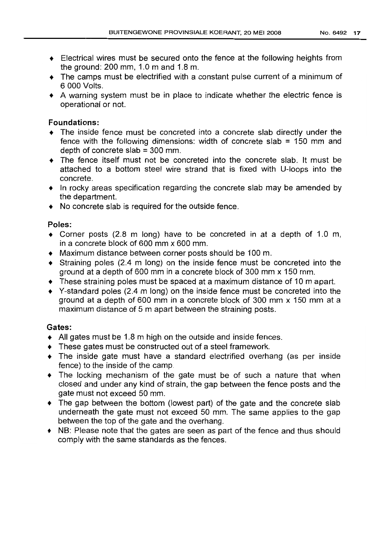- $\triangle$  Electrical wires must be secured onto the fence at the following heights from the ground: 200 mm, 1.0 m and 1.8 m.
- The camps must be electrified with a constant pulse current of a minimum of 6000 Volts.
- A warning system must be in place to indicate whether the electric fence is operational or not.

## Foundations:

- The inside fence must be concreted into a concrete slab directly under the fence with the following dimensions: width of concrete slab  $= 150$  mm and depth of concrete slab  $=$  300 mm.
- The fence itself must not be concreted into the concrete slab. It must be attached to a bottom steel wire strand that is fixed with U-Ioops into the concrete.
- In rocky areas specification regarding the concrete slab may be amended by the department.
- No concrete slab is required for the outside fence.

### Poles:

- Corner posts (2.8 m long) have to be concreted in at a depth of 1.0 m, in a concrete block of 600 mm x 600 mm.
- Maximum distance between corner posts should be 100 m.
- Straining poles (2.4 m long) on the inside fence must be concreted into the ground at a depth of 600 mm in a concrete block of 300 mm x 150 mm.
- $\bullet$  These straining poles must be spaced at a maximum distance of 10 m apart.
- V-standard poles (2.4 m long) on the inside fence must be concreted into the ground at a depth of 600 mm in a concrete block of 300 mm x 150 mm at a maximum distance of 5 m apart between the straining posts.

### Gates:

- All gates must be 1.8 m high on the outside and inside fences.
- These gates must be constructed out of a steel framework.
- The inside gate must have a standard electrified overhang (as per inside fence) to the inside of the camp.
- The locking mechanism of the gate must be of such a nature that when closed and under any kind of strain, the gap between the fence posts and the gate must not exceed 50 mm.
- The gap between the bottom (lowest part) of the gate and the concrete slab underneath the gate must not exceed 50 mm. The same applies to the gap between the top of the gate and the overhang.
- NB: Please note that the gates are seen as part of the fence and thus should comply with the same standards as the fences.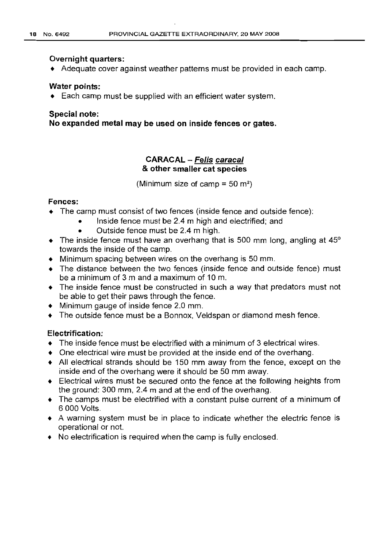#### **Overnight quarters:**

• Adequate cover against weather patterns must be provided in each camp.

#### **Water points:**

• Each camp must be supplied with an efficient water system.

#### **Special note:**

**No expanded metal may be used on inside fences or gates.**

## **CARACAL - Felis caracal & other smaller cat species**

(Minimum size of camp =  $50 \text{ m}^2$ )

### **Fences:**

- $\bullet$  The camp must consist of two fences (inside fence and outside fence):
	- Inside fence must be 2.4 m high and electrified; and
	- Outside fence must be 2.4 m high.
- The inside fence must have an overhang that is 500 mm long, angling at  $45^{\circ}$ towards the inside of the camp.
- Minimum spacing between wires on the overhang is 50 mm.
- The distance between the two fences (inside fence and outside fence) must be a minimum of 3 m and a maximum of 10m.
- The inside fence must be constructed in such a way that predators must not be able to get their paws through the fence.
- Minimum gauge of inside fence 2.0 mm.
- The outside fence must be a Bonnox, Veldspan or diamond mesh fence.

## **Electrification:**

- The inside fence must be electrified with a minimum of 3 electrical wires.
- One electrical wire must be provided at the inside end of the overhang.
- All electrical strands should be 150 mm away from the fence, except on the inside end of the overhang were it should be 50 mm away.
- Electrical wires must be secured onto the fence at the following heights from the ground: 300 mm, 2.4 m and at the end of the overhang.
- The camps must be electrified with a constant pulse current of a minimum of 6000 Volts.
- A warning system must be in place to indicate whether the electric fence is operational or not.
- No electrification is required when the camp is fully enclosed.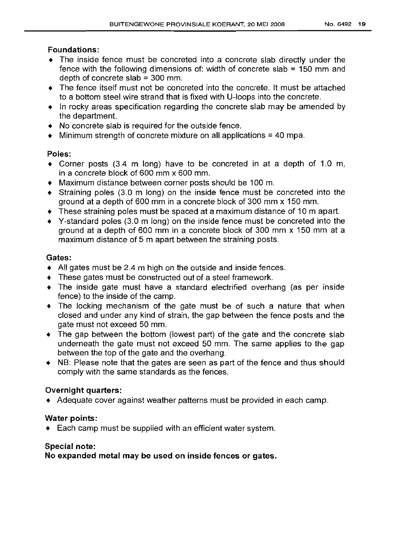## Foundations:

- The inside fence must be concreted into a concrete slab directly under the fence with the following dimensions of: width of concrete slab =150 mm and depth of concrete slab  $=$  300 mm.
- The fence itself must not be concreted into the concrete. It must be attached to a bottom steel wire strand that is fixed with U-Ioops into the concrete.
- In rocky areas specification regarding the concrete slab may be amended by the department.
- No concrete slab is required for the outside fence.
- $\bullet$  Minimum strength of concrete mixture on all applications = 40 mpa.

## Poles:

- Corner posts (3.4 m long) have to be concreted in at a depth of 1.0 m, in a concrete block of 600 mm x 600 mm.
- Maximum distance between corner posts should be 100 m.
- Straining poles (3.0 m long) on the inside fence must be concreted into the ground at a depth of 600 mm in a concrete block of 300 mm x 150 mm.
- These straining poles must be spaced at a maximum distance of 10 m apart.
- V-standard poles (3.0 m long) on the inside fence must be concreted into the ground at a depth of 600 mm in a concrete block of 300 mm x 150 mm at a maximum distance of 5 m apart between the straining posts.

## Gates:

- All gates must be 2.4 m high on the outside and inside fences.
- $\bullet$  These gates must be constructed out of a steel framework.
- The inside gate must have a standard electrified overhang (as per inside fence) to the inside of the camp.
- The locking mechanism of the gate must be of such a nature that when closed and under any kind of strain, the gap between the fence posts and the gate must not exceed 50 mm.
- The gap between the bottom (lowest part) of the gate and the concrete slab underneath the gate must not exceed 50 mm. The same applies to the gap between the top of the gate and the overhang.
- NB: Please note that the gates are seen as part of the fence and thus should comply with the same standards as the fences.

## Overnight quarters:

• Adequate cover against weather patterns must be provided in each camp.

## Water points:

• Each camp must be supplied with an efficient water system.

## Special note:

No expanded metal may be used on inside fences or gates.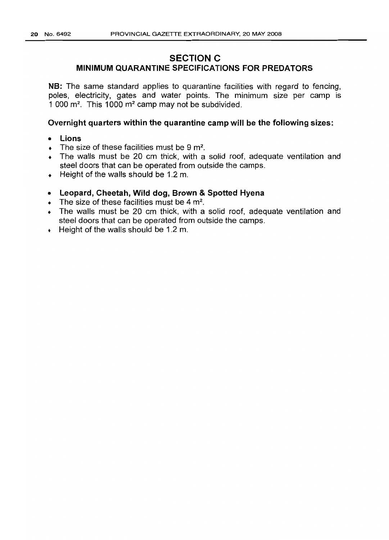## **SECTION C**

## **MINIMUM QUARANTINE SPECIFICATIONS FOR PREDATORS**

**NB:** The same standard applies to quarantine facilities with regard to fencing, poles, electricity, gates and water points. The minimum size per camp is 1 000  $m^2$ . This 1000  $m^2$  camp may not be subdivided.

#### **Overnight quarters within the quarantine camp will be the following sizes:**

- **Lions**
- $\bullet$  The size of these facilities must be 9 m<sup>2</sup>.
- The walls must be 20 cm thick, with a solid roof, adequate ventilation and steel doors that can be operated from outside the camps.
- Height of the walls should be 1.2 m.
- **• Leopard, Cheetah, Wild dog, Brown & Spotted Hyena**
- $\bullet$  The size of these facilities must be 4 m<sup>2</sup>.
- The walls must be 20 cm thick, with a solid roof, adequate ventilation and steel doors that can be operated from outside the camps.
- Height of the walls should be 1.2 m.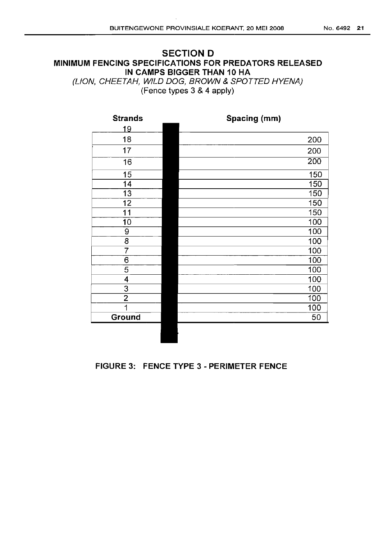## **SECTION D MINIMUM FENCING SPECIFICATIONS FOR PREDATORS RELEASED IN CAMPS BIGGER THAN 10 HA**

(LION, CHEETAH, WILD DOG, BROWN & SPOTTED HYENA) (Fence types 3 &4 apply)

| <b>Strands</b> | Spacing (mm)     |
|----------------|------------------|
| <u> 19</u>     |                  |
| 18             | 200              |
| 17             | 200              |
| 16             | $\overline{200}$ |
| 15             | 150              |
| 14             | 150              |
| 13             | 150              |
| 12             | 150              |
| 11             | 150              |
| 10             | 100              |
| 9              | 100              |
| 8              | 100              |
| 7              | 100              |
| $\overline{6}$ | 100              |
| 5              | 100              |
| 4              | 100              |
| 3              | 100              |
| $\overline{2}$ | 100              |
| 1              | 100              |
| Ground         | 50               |
|                |                  |

## **FIGURE 3: FENCE TYPE 3 - PERIMETER FENCE**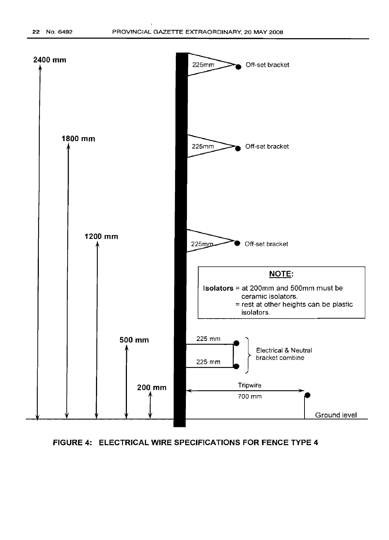

#### **FIGURE 4: ELECTRICAL WIRE SPECIFICATIONS FOR FENCE TYPE 4**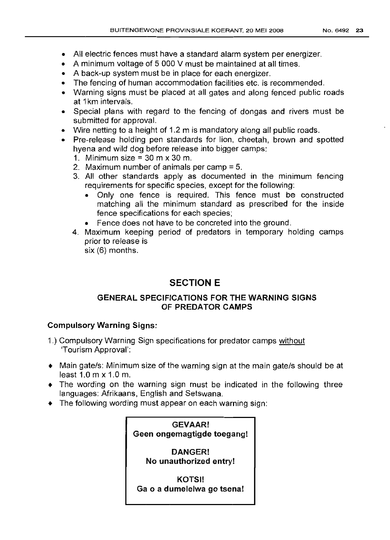- All electric fences must have a standard alarm system per energizer.
- A minimum voltage of 5 000 V must be maintained at all times.
- A back-up system must be in place for each energizer.
- The fencing of human accommodation facilities etc. is recommended.
- Warning signs must be placed at all gates and along fenced public roads at 1km intervals.
- Special plans with regard to the fencing of dongas and rivers must be submitted for approval.
- Wire netting to a height of 1.2 m is mandatory along all public roads.
- Pre-release holding pen standards for lion, cheetah, brown and spotted hyena and wild dog before release into bigger camps:
	- 1. Minimum size =  $30 \text{ m} \times 30 \text{ m}$ .
	- 2. Maximum number of animals per camp = 5.
	- 3. All other standards apply as documented in the minimum fencing requirements for specific species, except for the following:
		- Only one fence is required. This fence must be constructed matching all the minimum standard as prescribed for the inside fence specifications for each species;
		- Fence does not have to be concreted into the ground.
	- 4. Maximum keeping period of predators in temporary holding camps prior to release is six (6) months.

# **SECTION E**

## **GENERAL SPECIFICATIONS FOR THE WARNING SIGNS OF PREDATOR CAMPS**

## **Compulsory Warning Signs:**

- 1.) Compulsory Warning Sign specifications for predator camps without 'Tourism Approval':
- Main gate/s: Minimum size of the warning sign at the main gate/s should be at least 1.0 m x 1.0 m.
- The wording on the warning sign must be indicated in the following three lanquaqes: Afrikaans, English and Setswana.
- The followinq wording must appear on each warning sign: